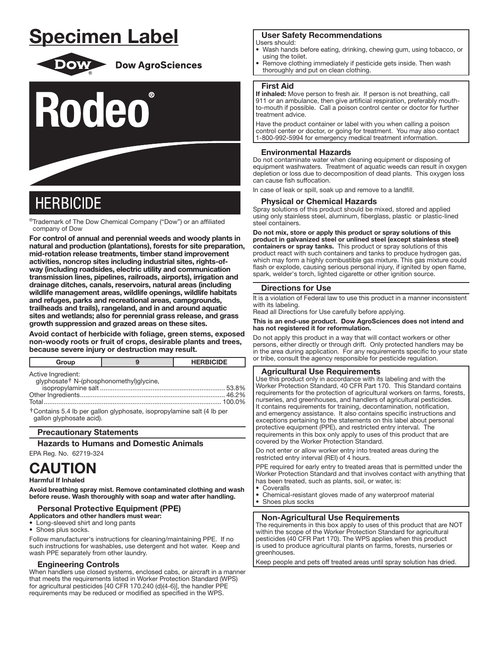# **Specimen Label**



# **Dow AgroSciences**



# **HERBICIDE**

®Trademark of The Dow Chemical Company ("Dow") or an affiliated company of Dow

For control of annual and perennial weeds and woody plants in natural and production (plantations), forests for site preparation, mid-rotation release treatments, timber stand improvement activities, noncrop sites including industrial sites, rights-ofway (including roadsides, electric utility and communication transmission lines, pipelines, railroads, airports), irrigation and drainage ditches, canals, reservoirs, natural areas (including wildlife management areas, wildlife openings, wildlife habitats and refuges, parks and recreational areas, campgrounds, trailheads and trails), rangeland, and in and around aquatic sites and wetlands; also for perennial grass release, and grass growth suppression and grazed areas on these sites.

Avoid contact of herbicide with foliage, green stems, exposed non-woody roots or fruit of crops, desirable plants and trees, because severe injury or destruction may result.

| Group                                                                                             | <b>HERBICIDE</b> |
|---------------------------------------------------------------------------------------------------|------------------|
| Active Ingredient:<br>glyphosate <sup>†</sup> N-(phosphonomethyl)glycine,                         | $100.0\%$        |
| †Contains 5.4 lb per gallon glyphosate, isopropylamine salt (4 lb per<br>gallon glyphosate acid). |                  |

# **Precautionary Statements**

**Hazards to Humans and Domestic Animals** 

# EPA Reg. No. 62719-324

# **CAUTION Harmful If Inhaled**

Avoid breathing spray mist. Remove contaminated clothing and wash before reuse. Wash thoroughly with soap and water after handling.

# **Personal Protective Equipment (PPE)**

Applicators and other handlers must wear:

• Long-sleeved shirt and long pants

• Shoes plus socks.

Follow manufacturer's instructions for cleaning/maintaining PPE. If no such instructions for washables, use detergent and hot water. Keep and wash PPE separately from other laundry.

# **Engineering Controls**

When handlers use closed systems, enclosed cabs, or aircraft in a manner that meets the requirements listed in Worker Protection Standard (WPS) for agricultural pesticides [40 CFR 170.240 (d)(4-6)], the handler PPE requirements may be reduced or modified as specified in the WPS.

# **User Safety Recommendations**

#### Users should:

- Wash hands before eating, drinking, chewing gum, using tobacco, or using the toilet.
- Remove clothing immediately if pesticide gets inside. Then wash thoroughly and put on clean clothing.

# **First Aid**

If inhaled: Move person to fresh air. If person is not breathing, call 911 or an ambulance, then give artificial respiration, preferably mouthto-mouth if possible. Call a poison control center or doctor for further treatment advice.

Have the product container or label with you when calling a poison control center or doctor, or going for treatment. You may also contact 1-800-992-5994 for emergency medical treatment information.

# **Environmental Hazards**

Do not contaminate water when cleaning equipment or disposing of equipment washwaters. Treatment of aquatic weeds can result in oxygen depletion or loss due to decomposition of dead plants. This oxygen loss can cause fish suffocation.

In case of leak or spill, soak up and remove to a landfill.

# **Physical or Chemical Hazards**

Spray solutions of this product should be mixed, stored and applied using only stainless steel, aluminum, fiberglass, plastic or plastic-lined steel containers.

Do not mix, store or apply this product or spray solutions of this product in galvanized steel or unlined steel (except stainless steel) containers or spray tanks. This product or spray solutions of this product react with such containers and tanks to produce hydrogen gas, which may form a highly combustible gas mixture. This gas mixture could flash or explode, causing serious personal injury, if ignited by open flame, spark, welder's torch, lighted cigarette or other ignition source.

# **Directions for Use**

It is a violation of Federal law to use this product in a manner inconsistent with its labeling.

Read all Directions for Use carefully before applying.

#### This is an end-use product. Dow AgroSciences does not intend and has not registered it for reformulation.

Do not apply this product in a way that will contact workers or other persons, either directly or through drift. Only protected handlers may be in the area during application. For any requirements specific to your state or tribe, consult the agency responsible for pesticide regulation.

# **Agricultural Use Requirements**

Use this product only in accordance with its labeling and with the Worker Protection Standard, 40 CFR Part 170. This Standard contains requirements for the protection of agricultural workers on farms, forests, nurseries, and greenhouses, and handlers of agricultural pesticides. It contains requirements for training, decontamination, notification, and emergency assistance. It also contains specific instructions and exceptions pertaining to the statements on this label about personal protective equipment (PPE), and restricted entry interval. The requirements in this box only apply to uses of this product that are covered by the Worker Protection Standard.

Do not enter or allow worker entry into treated areas during the restricted entry interval (REI) of 4 hours.

PPE required for early entry to treated areas that is permitted under the Worker Protection Standard and that involves contact with anything that has been treated, such as plants, soil, or water, is:

- Coveralls
- Chemical-resistant gloves made of any waterproof material
- Shoes plus socks

# **Non-Agricultural Use Requirements**

The requirements in this box apply to uses of this product that are NOT within the scope of the Worker Protection Standard for agricultural pesticides (40 CFR Part 170). The WPS applies when this product is used to produce agricultural plants on farms, forests, nurseries or areenhouses.

Keep people and pets off treated areas until spray solution has dried.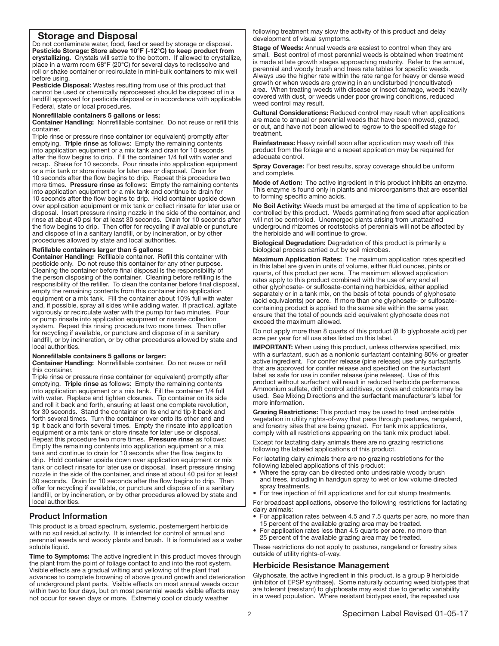# Storage and Disposal

Do not contaminate water, food, feed or seed by storage or disposal. Pesticide Storage: Store above 10°F (-12°C) to keep product from crystallizing. Crystals will settle to the bottom. If allowed to crystallize, place in a warm room 68°F (20°C) for several days to redissolve and roll or shake container or recirculate in mini-bulk containers to mix well before using.

Pesticide Disposal: Wastes resulting from use of this product that cannot be used or chemically reprocessed should be disposed of in a landfill approved for pesticide disposal or in accordance with applicable Federal, state or local procedures.

### Nonrefillable containers 5 gallons or less:

Container Handling: Nonrefillable container. Do not reuse or refill this container.

Triple rinse or pressure rinse container (or equivalent) promptly after emptying. Triple rinse as follows: Empty the remaining contents into application equipment or a mix tank and drain for 10 seconds after the flow begins to drip. Fill the container 1/4 full with water and recap. Shake for 10 seconds. Pour rinsate into application equipment or a mix tank or store rinsate for later use or disposal. Drain for 10 seconds after the flow begins to drip. Repeat this procedure two more times. Pressure rinse as follows: Empty the remaining contents into application equipment or a mix tank and continue to drain for 10 seconds after the flow begins to drip. Hold container upside down over application equipment or mix tank or collect rinsate for later use or disposal. Insert pressure rinsing nozzle in the side of the container, and rinse at about 40 psi for at least 30 seconds. Drain for 10 seconds after the flow begins to drip. Then offer for recycling if available or puncture and dispose of in a sanitary landfill, or by incineration, or by other procedures allowed by state and local authorities.

#### Refillable containers larger than 5 gallons:

Container Handling: Refillable container. Refill this container with pesticide only. Do not reuse this container for any other purpose. Cleaning the container before final disposal is the responsibility of the person disposing of the container. Cleaning before refilling is the responsibility of the refiller. To clean the container before final disposal, empty the remaining contents from this container into application equipment or a mix tank. Fill the container about 10% full with water and, if possible, spray all sides while adding water. If practical, agitate vigorously or recirculate water with the pump for two minutes. Pour or pump rinsate into application equipment or rinsate collection system. Repeat this rinsing procedure two more times. Then offer for recycling if available, or puncture and dispose of in a sanitary landfill, or by incineration, or by other procedures allowed by state and local authorities.

#### Nonrefillable containers 5 gallons or larger:

Container Handling: Nonrefillable container. Do not reuse or refill this container.

Triple rinse or pressure rinse container (or equivalent) promptly after emptying. Triple rinse as follows: Empty the remaining contents into application equipment or a mix tank. Fill the container 1/4 full with water. Replace and tighten closures. Tip container on its side and roll it back and forth, ensuring at least one complete revolution, for 30 seconds. Stand the container on its end and tip it back and forth several times. Turn the container over onto its other end and tip it back and forth several times. Empty the rinsate into application equipment or a mix tank or store rinsate for later use or disposal. Repeat this procedure two more times. Pressure rinse as follows: Empty the remaining contents into application equipment or a mix tank and continue to drain for 10 seconds after the flow begins to drip. Hold container upside down over application equipment or mix tank or collect rinsate for later use or disposal. Insert pressure rinsing nozzle in the side of the container, and rinse at about 40 psi for at least 30 seconds. Drain for 10 seconds after the flow begins to drip. Then offer for recycling if available, or puncture and dispose of in a sanitary landfill, or by incineration, or by other procedures allowed by state and local authorities. ļ

# Product Information

This product is a broad spectrum, systemic, postemergent herbicide with no soil residual activity. It is intended for control of annual and perennial weeds and woody plants and brush. It is formulated as a water soluble liquid.

Time to Symptoms: The active ingredient in this product moves through the plant from the point of foliage contact to and into the root system. Visible effects are a gradual wilting and yellowing of the plant that advances to complete browning of above ground growth and deterioration of underground plant parts. Visible effects on most annual weeds occur within two to four days, but on most perennial weeds visible effects may not occur for seven days or more. Extremely cool or cloudy weather

following treatment may slow the activity of this product and delay development of visual symptoms.

Stage of Weeds: Annual weeds are easiest to control when they are small. Best control of most perennial weeds is obtained when treatment is made at late growth stages approaching maturity. Refer to the annual, perennial and woody brush and trees rate tables for specific weeds. Always use the higher rate within the rate range for heavy or dense weed growth or when weeds are growing in an undisturbed (noncultivated) area. When treating weeds with disease or insect damage, weeds heavily covered with dust, or weeds under poor growing conditions, reduced weed control may result.

Cultural Considerations: Reduced control may result when applications are made to annual or perennial weeds that have been mowed, grazed, or cut, and have not been allowed to regrow to the specified stage for treatment.

Rainfastness: Heavy rainfall soon after application may wash off this product from the foliage and a repeat application may be required for adequate control.

Spray Coverage: For best results, spray coverage should be uniform and complete.

Mode of Action: The active ingredient in this product inhibits an enzyme. This enzyme is found only in plants and microorganisms that are essential to forming specific amino acids.

No Soil Activity: Weeds must be emerged at the time of application to be controlled by this product. Weeds germinating from seed after application will not be controlled. Unemerged plants arising from unattached underground rhizomes or rootstocks of perennials will not be affected by the herbicide and will continue to grow.

Biological Degradation: Degradation of this product is primarily a biological process carried out by soil microbes.

Maximum Application Rates: The maximum application rates specified in this label are given in units of volume, either fluid ounces, pints or quarts, of this product per acre. The maximum allowed application rates apply to this product combined with the use of any and all other glyphosate- or sulfosate-containing herbicides, either applied separately or in a tank mix, on the basis of total pounds of glyphosate (acid equivalents) per acre. If more than one glyphosate- or sulfosatecontaining product is applied to the same site within the same year, ensure that the total of pounds acid equivalent glyphosate does not exceed the maximum allowed.

Do not apply more than 8 quarts of this product (8 lb glyphosate acid) per acre per year for all use sites listed on this label.

IMPORTANT: When using this product, unless otherwise specified, mix with a surfactant, such as a nonionic surfactant containing 80% or greater active ingredient. For conifer release (pine release) use only surfactants that are approved for conifer release and specified on the surfactant label as safe for use in conifer release (pine release). Use of this product without surfactant will result in reduced herbicide performance. Ammonium sulfate, drift control additives, or dyes and colorants may be used. See Mixing Directions and the surfactant manufacturer's label for more information.

Grazing Restrictions: This product may be used to treat undesirable vegetation in utility rights-of-way that pass through pastures, rangeland, and forestry sites that are being grazed. For tank mix applications, comply with all restrictions appearing on the tank mix product label.

Except for lactating dairy animals there are no grazing restrictions following the labeled applications of this product.

For lactating dairy animals there are no grazing restrictions for the following labeled applications of this product:

- Where the spray can be directed onto undesirable woody brush and trees, including in handgun spray to wet or low volume directed spray treatments.
- For tree injection of frill applications and for cut stump treatments.

For broadcast applications, observe the following restrictions for lactating dairy animals:

- For application rates between 4.5 and 7.5 quarts per acre, no more than 15 percent of the available grazing area may be treated.
- For application rates less than 4.5 quarts per acre, no more than 25 percent of the available grazing area may be treated.

These restrictions do not apply to pastures, rangeland or forestry sites outside of utility rights-of-way.

# Herbicide Resistance Management

Glyphosate, the active ingredient in this product, is a group 9 herbicide (inhibitor of EPSP synthase). Some naturally occurring weed biotypes that are tolerant (resistant) to glyphosate may exist due to genetic variability in a weed population. Where resistant biotypes exist, the repeated use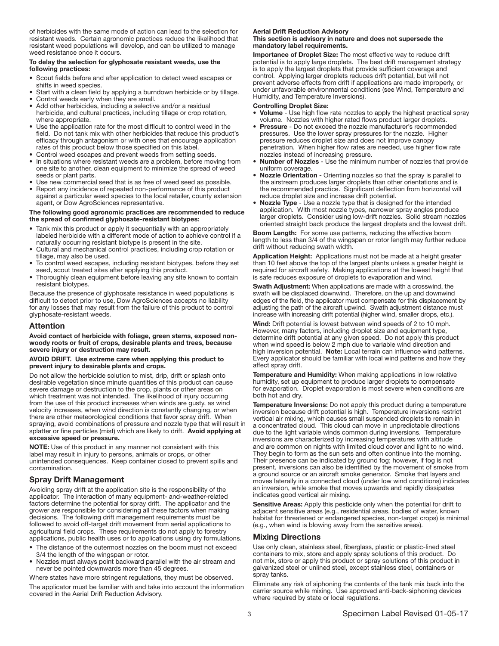of herbicides with the same mode of action can lead to the selection for resistant weeds. Certain agronomic practices reduce the likelihood that resistant weed populations will develop, and can be utilized to manage weed resistance once it occurs.

#### To delay the selection for glyphosate resistant weeds, use the following practices:

- Scout fields before and after application to detect weed escapes or shifts in weed species.
- Start with a clean field by applying a burndown herbicide or by tillage.
- Control weeds early when they are small.
- Add other herbicides, including a selective and/or a residual herbicide, and cultural practices, including tillage or crop rotation, where appropriate.
- Use the application rate for the most difficult to control weed in the field. Do not tank mix with other herbicides that reduce this product's efficacy through antagonism or with ones that encourage application rates of this product below those specified on this label.
- Control weed escapes and prevent weeds from setting seeds.
- In situations where resistant weeds are a problem, before moving from one site to another, clean equipment to minimize the spread of weed seeds or plant parts.
- Use new commercial seed that is as free of weed seed as possible.
- Report any incidence of repeated non-performance of this product against a particular weed species to the local retailer, county extension agent, or Dow AgroSciences representative.

#### The following good agronomic practices are recommended to reduce the spread of confirmed glyphosate-resistant biotypes:

- Tank mix this product or apply it sequentially with an appropriately labeled herbicide with a different mode of action to achieve control if a naturally occurring resistant biotype is present in the site.
- Cultural and mechanical control practices, including crop rotation or tillage, may also be used.
- To control weed escapes, including resistant biotypes, before they set seed, scout treated sites after applying this product.
- Thoroughly clean equipment before leaving any site known to contain resistant biotypes.

Because the presence of glyphosate resistance in weed populations is difficult to detect prior to use, Dow AgroSciences accepts no liability for any losses that may result from the failure of this product to control glyphosate-resistant weeds.

# Attention

Avoid contact of herbicide with foliage, green stems, exposed nonwoody roots or fruit of crops, desirable plants and trees, because severe injury or destruction may result.

## AVOID DRIFT. Use extreme care when applying this product to prevent injury to desirable plants and crops.

Do not allow the herbicide solution to mist, drip, drift or splash onto desirable vegetation since minute quantities of this product can cause severe damage or destruction to the crop, plants or other areas on which treatment was not intended. The likelihood of injury occurring from the use of this product increases when winds are gusty, as wind velocity increases, when wind direction is constantly changing, or when there are other meteorological conditions that favor spray drift. When spraying, avoid combinations of pressure and nozzle type that will result in splatter or fine particles (mist) which are likely to drift. Avoid applying at excessive speed or pressure.

NOTE: Use of this product in any manner not consistent with this label may result in injury to persons, animals or crops, or other unintended consequences. Keep container closed to prevent spills and contamination.

# Spray Drift Management

Avoiding spray drift at the application site is the responsibility of the applicator. The interaction of many equipment- and-weather-related factors determine the potential for spray drift. The applicator and the grower are responsible for considering all these factors when making decisions. The following drift management requirements must be followed to avoid off-target drift movement from aerial applications to agricultural field crops. These requirements do not apply to forestry applications, public health uses or to applications using dry formulations.

- The distance of the outermost nozzles on the boom must not exceed
- 3/4 the length of the wingspan or rotor.
- Nozzles must always point backward parallel with the air stream and never be pointed downwards more than 45 degrees.

Where states have more stringent regulations, they must be observed.

The applicator must be familiar with and take into account the information covered in the Aerial Drift Reduction Advisory.

#### Aerial Drift Reduction Advisory This section is advisory in nature and does not supersede the

mandatory label requirements. Importance of Droplet Size: The most effective way to reduce drift potential is to apply large droplets. The best drift management strategy is to apply the largest droplets that provide sufficient coverage and control. Applying larger droplets reduces drift potential, but will not

prevent adverse effects from drift if applications are made improperly, or under unfavorable environmental conditions (see Wind, Temperature and Humidity, and Temperature Inversions).

#### Controlling Droplet Size:

- Volume Use high flow rate nozzles to apply the highest practical spray volume. Nozzles with higher rated flows product larger droplets.
- Pressure Do not exceed the nozzle manufacturer's recommended pressures. Use the lower spray pressures for the nozzle. Higher pressure reduces droplet size and does not improve canopy penetration. When higher flow rates are needed, use higher flow rate nozzles instead of increasing pressure.
- Number of Nozzles Use the minimum number of nozzles that provide uniform coverage.
- Nozzle Orientation Orienting nozzles so that the spray is parallel to the airstream produces larger droplets than other orientations and is the recommended practice. Significant deflection from horizontal will reduce droplet size and increase drift potential.
- Nozzle Type Use a nozzle type that is designed for the intended application. With most nozzle types, narrower spray angles produce larger droplets. Consider using low-drift nozzles. Solid stream nozzles oriented straight back produce the largest droplets and the lowest drift.

Boom Length: For some use patterns, reducing the effective boom length to less than 3/4 of the wingspan or rotor length may further reduce drift without reducing swath width.

Application Height: Applications must not be made at a height greater than 10 feet above the top of the largest plants unless a greater height is required for aircraft safety. Making applications at the lowest height that is safe reduces exposure of droplets to evaporation and wind.

Swath Adjustment: When applications are made with a crosswind, the swath will be displaced downwind. Therefore, on the up and downwind edges of the field, the applicator must compensate for this displacement by adjusting the path of the aircraft upwind. Swath adjustment distance must increase with increasing drift potential (higher wind, smaller drops, etc.).

Wind: Drift potential is lowest between wind speeds of 2 to 10 mph. However, many factors, including droplet size and equipment type, determine drift potential at any given speed. Do not apply this product when wind speed is below 2 mph due to variable wind direction and high inversion potential. Note: Local terrain can influence wind patterns. Every applicator should be familiar with local wind patterns and how they affect spray drift.

Temperature and Humidity: When making applications in low relative humidity, set up equipment to produce larger droplets to compensate for evaporation. Droplet evaporation is most severe when conditions are both hot and dry.

Temperature Inversions: Do not apply this product during a temperature inversion because drift potential is high. Temperature inversions restrict vertical air mixing, which causes small suspended droplets to remain in a concentrated cloud. This cloud can move in unpredictable directions due to the light variable winds common during inversions. Temperature inversions are characterized by increasing temperatures with altitude and are common on nights with limited cloud cover and light to no wind. They begin to form as the sun sets and often continue into the morning. Their presence can be indicated by ground fog; however, if fog is not present, inversions can also be identified by the movement of smoke from a ground source or an aircraft smoke generator. Smoke that layers and moves laterally in a connected cloud (under low wind conditions) indicates an inversion, while smoke that moves upwards and rapidly dissipates indicates good vertical air mixing.

Sensitive Areas: Apply this pesticide only when the potential for drift to adjacent sensitive areas (e.g., residential areas, bodies of water, known habitat for threatened or endangered species, non-target crops) is minimal (e.g., when wind is blowing away from the sensitive areas).

# Mixing Directions

Use only clean, stainless steel, fiberglass, plastic or plastic-lined steel containers to mix, store and apply spray solutions of this product. Do not mix, store or apply this product or spray solutions of this product in galvanized steel or unlined steel, except stainless steel, containers or spray tanks.

Eliminate any risk of siphoning the contents of the tank mix back into the carrier source while mixing. Use approved anti-back-siphoning devices where required by state or local regulations.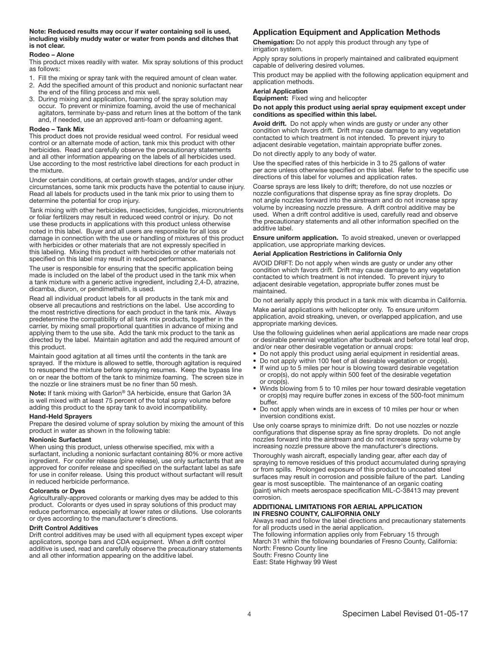#### Note: Reduced results may occur if water containing soil is used, including visibly muddy water or water from ponds and ditches that is not clear.

#### Rodeo – Alone

This product mixes readily with water. Mix spray solutions of this product as follows:

- 1. Fill the mixing or spray tank with the required amount of clean water. 2. Add the specified amount of this product and nonionic surfactant near the end of the filling process and mix well.
- 3. During mixing and application, foaming of the spray solution may occur. To prevent or minimize foaming, avoid the use of mechanical agitators, terminate by-pass and return lines at the bottom of the tank and, if needed, use an approved anti-foam or defoaming agent.

#### Rodeo – Tank Mix

This product does not provide residual weed control. For residual weed control or an alternate mode of action, tank mix this product with other herbicides. Read and carefully observe the precautionary statements and all other information appearing on the labels of all herbicides used. Use according to the most restrictive label directions for each product in the mixture.

Under certain conditions, at certain growth stages, and/or under other circumstances, some tank mix products have the potential to cause injury. Read all labels for products used in the tank mix prior to using them to determine the potential for crop injury.

Tank mixing with other herbicides, insecticides, fungicides, micronutrients or foliar fertilizers may result in reduced weed control or injury. Do not use these products in applications with this product unless otherwise noted in this label. Buyer and all users are responsible for all loss or damage in connection with the use or handling of mixtures of this product with herbicides or other materials that are not expressly specified in this labeling. Mixing this product with herbicides or other materials not specified on this label may result in reduced performance.

The user is responsible for ensuring that the specific application being made is included on the label of the product used in the tank mix when a tank mixture with a generic active ingredient, including 2,4-D, atrazine, dicamba, diuron, or pendimethalin, is used.

Read all individual product labels for all products in the tank mix and observe all precautions and restrictions on the label. Use according to the most restrictive directions for each product in the tank mix. Always predetermine the compatibility of all tank mix products, together in the carrier, by mixing small proportional quantities in advance of mixing and applying them to the use site. Add the tank mix product to the tank as directed by the label. Maintain agitation and add the required amount of this product.

Maintain good agitation at all times until the contents in the tank are sprayed. If the mixture is allowed to settle, thorough agitation is required to resuspend the mixture before spraying resumes. Keep the bypass line on or near the bottom of the tank to minimize foaming. The screen size in the nozzle or line strainers must be no finer than 50 mesh.

Note: If tank mixing with Garlon® 3A herbicide, ensure that Garlon 3A is well mixed with at least 75 percent of the total spray volume before adding this product to the spray tank to avoid incompatibility.

#### Hand-Held Sprayers

Prepare the desired volume of spray solution by mixing the amount of this product in water as shown in the following table:

#### Nonionic Surfactant

When using this product, unless otherwise specified, mix with a surfactant, including a nonionic surfactant containing 80% or more active ingredient. For conifer release (pine release), use only surfactants that are approved for conifer release and specified on the surfactant label as safe for use in conifer release. Using this product without surfactant will result in reduced herbicide performance.

#### Colorants or Dyes

Agriculturally-approved colorants or marking dyes may be added to this product. Colorants or dyes used in spray solutions of this product may reduce performance, especially at lower rates or dilutions. Use colorants or dyes according to the manufacturer's directions.

#### Drift Control Additives

Drift control additives may be used with all equipment types except wiper applicators, sponge bars and CDA equipment. When a drift control additive is used, read and carefully observe the precautionary statements and all other information appearing on the additive label.

# Application Equipment and Application Methods

Chemigation: Do not apply this product through any type of irrigation system.

Apply spray solutions in properly maintained and calibrated equipment capable of delivering desired volumes.

This product may be applied with the following application equipment and application methods.

### Aerial Application

Equipment: Fixed wing and helicopter

#### Do not apply this product using aerial spray equipment except under conditions as specified within this label.

Avoid drift. Do not apply when winds are gusty or under any other condition which favors drift. Drift may cause damage to any vegetation contacted to which treatment is not intended. To prevent injury to adjacent desirable vegetation, maintain appropriate buffer zones.

Do not directly apply to any body of water.

Use the specified rates of this herbicide in 3 to 25 gallons of water per acre unless otherwise specified on this label. Refer to the specific use directions of this label for volumes and application rates.

Coarse sprays are less likely to drift; therefore, do not use nozzles or nozzle configurations that dispense spray as fine spray droplets. Do not angle nozzles forward into the airstream and do not increase spray volume by increasing nozzle pressure. A drift control additive may be used. When a drift control additive is used, carefully read and observe the precautionary statements and all other information specified on the additive label.

Ensure uniform application. To avoid streaked, uneven or overlapped application, use appropriate marking devices.

#### Aerial Application Restrictions in California Only

AVOID DRIFT: Do not apply when winds are gusty or under any other condition which favors drift. Drift may cause damage to any vegetation contacted to which treatment is not intended. To prevent injury to adjacent desirable vegetation, appropriate buffer zones must be maintained.

Do not aerially apply this product in a tank mix with dicamba in California.

Make aerial applications with helicopter only. To ensure uniform application, avoid streaking, uneven, or overlapped application, and use appropriate marking devices.

Use the following guidelines when aerial applications are made near crops or desirable perennial vegetation after budbreak and before total leaf drop, and/or near other desirable vegetation or annual crops:

- Do not apply this product using aerial equipment in residential areas.
- Do not apply within 100 feet of all desirable vegetation or crop(s).
- If wind up to 5 miles per hour is blowing toward desirable vegetation or crop(s), do not apply within 500 feet of the desirable vegetation or crop(s).
- Winds blowing from 5 to 10 miles per hour toward desirable vegetation or crop(s) may require buffer zones in excess of the 500-foot minimum buffer.
- Do not apply when winds are in excess of 10 miles per hour or when inversion conditions exist.

Use only coarse sprays to minimize drift. Do not use nozzles or nozzle configurations that dispense spray as fine spray droplets. Do not angle nozzles forward into the airstream and do not increase spray volume by increasing nozzle pressure above the manufacturer's directions.

Thoroughly wash aircraft, especially landing gear, after each day of spraying to remove residues of this product accumulated during spraying or from spills. Prolonged exposure of this product to uncoated steel surfaces may result in corrosion and possible failure of the part. Landing gear is most susceptible. The maintenance of an organic coating (paint) which meets aerospace specification MIL-C-38413 may prevent corrosion.

#### ADDITIONAL LIMITATIONS FOR AERIAL APPLICATION IN FRESNO COUNTY, CALIFORNIA ONLY

Always read and follow the label directions and precautionary statements for all products used in the aerial application.

The following information applies only from February 15 through March 31 within the following boundaries of Fresno County, California: North: Fresno County line South: Fresno County line

East: State Highway 99 West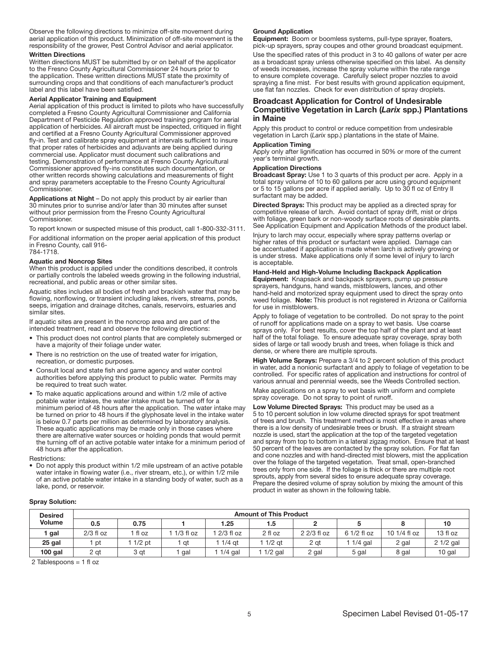Observe the following directions to minimize off-site movement during aerial application of this product. Minimization of off-site movement is the responsibility of the grower, Pest Control Advisor and aerial applicator.

#### Written Directions

Written directions MUST be submitted by or on behalf of the applicator to the Fresno County Agricultural Commissioner 24 hours prior to the application. These written directions MUST state the proximity of surrounding crops and that conditions of each manufacturer's product label and this label have been satisfied.

#### Aerial Applicator Training and Equipment

Aerial application of this product is limited to pilots who have successfully completed a Fresno County Agricultural Commissioner and California Department of Pesticide Regulation approved training program for aerial application of herbicides. All aircraft must be inspected, critiqued in flight and certified at a Fresno County Agricultural Commissioner approved fly-in. Test and calibrate spray equipment at intervals sufficient to insure that proper rates of herbicides and adjuvants are being applied during commercial use. Applicator must document such calibrations and testing. Demonstration of performance at Fresno County Agricultural Commissioner approved fly-ins constitutes such documentation, or other written records showing calculations and measurements of flight and spray parameters acceptable to the Fresno County Agricultural Commissioner.

Applications at Night – Do not apply this product by air earlier than 30 minutes prior to sunrise and/or later than 30 minutes after sunset without prior permission from the Fresno County Agricultural Commissioner.

To report known or suspected misuse of this product, call 1-800-332-3111.

For additional information on the proper aerial application of this product in Fresno County, call 916- 784-1718.

#### Aquatic and Noncrop Sites

When this product is applied under the conditions described, it controls or partially controls the labeled weeds growing in the following industrial, recreational, and public areas or other similar sites.

Aquatic sites includes all bodies of fresh and brackish water that may be flowing, nonflowing, or transient including lakes, rivers, streams, ponds, seeps, irrigation and drainage ditches, canals, reservoirs, estuaries and similar sites.

If aquatic sites are present in the noncrop area and are part of the intended treatment, read and observe the following directions:

- This product does not control plants that are completely submerged or have a majority of their foliage under water.
- There is no restriction on the use of treated water for irrigation, recreation, or domestic purposes.
- Consult local and state fish and game agency and water control authorities before applying this product to public water. Permits may be required to treat such water.
- To make aquatic applications around and within 1/2 mile of active potable water intakes, the water intake must be turned off for a minimum period of 48 hours after the application. The water intake may be turned on prior to 48 hours if the glyphosate level in the intake water is below 0.7 parts per million as determined by laboratory analysis. These aquatic applications may be made only in those cases where there are alternative water sources or holding ponds that would permit the turning off of an active potable water intake for a minimum period of 48 hours after the application.

Restrictions:

• Do not apply this product within 1/2 mile upstream of an active potable water intake in flowing water (i.e., river stream, etc.), or within 1/2 mile of an active potable water intake in a standing body of water, such as a lake, pond, or reservoir.

#### Ground Application

Equipment: Boom or boomless systems, pull-type sprayer, floaters, pick-up sprayers, spray coupes and other ground broadcast equipment.

Use the specified rates of this product in 3 to 40 gallons of water per acre as a broadcast spray unless otherwise specified on this label. As density of weeds increases, increase the spray volume within the rate range to ensure complete coverage. Carefully select proper nozzles to avoid spraying a fine mist. For best results with ground application equipment, use flat fan nozzles. Check for even distribution of spray droplets.

#### Broadcast Application for Control of Undesirable Competitive Vegetation in Larch (*Larix* spp.) Plantations in Maine

Apply this product to control or reduce competition from undesirable vegetation in Larch (*Larix* spp.) plantations in the state of Maine.

#### Application Timing

Apply only after lignification has occurred in 50% or more of the current year's terminal growth.

#### Application Directions

Broadcast Spray: Use 1 to 3 quarts of this product per acre. Apply in a total spray volume of 10 to 60 gallons per acre using ground equipment or 5 to 15 gallons per acre if applied aerially. Up to 30 fl oz of Entry II surfactant may be added.

Directed Sprays: This product may be applied as a directed spray for competitive release of larch. Avoid contact of spray drift, mist or drips with foliage, green bark or non-woody surface roots of desirable plants. See Application Equipment and Application Methods of the product label.

Injury to larch may occur, especially where spray patterns overlap or higher rates of this product or surfactant were applied. Damage can be accentuated if application is made when larch is actively growing or is under stress. Make applications only if some level of injury to larch is acceptable.

#### Hand-Held and High-Volume Including Backpack Application

Equipment: Knapsack and backpack sprayers, pump up pressure sprayers, handguns, hand wands, mistblowers, lances, and other hand-held and motorized spray equipment used to direct the spray onto weed foliage. Note: This product is not registered in Arizona or California for use in mistblowers.

Apply to foliage of vegetation to be controlled. Do not spray to the point of runoff for applications made on a spray to wet basis. Use coarse sprays only. For best results, cover the top half of the plant and at least half of the total foliage. To ensure adequate spray coverage, spray both sides of large or tall woody brush and trees, when foliage is thick and dense, or where there are multiple sprouts.

High Volume Sprays: Prepare a 3/4 to 2 percent solution of this product in water, add a nonionic surfactant and apply to foliage of vegetation to be controlled. For specific rates of application and instructions for control of various annual and perennial weeds, see the Weeds Controlled section.

Make applications on a spray to wet basis with uniform and complete spray coverage. Do not spray to point of runoff.

Low Volume Directed Sprays: This product may be used as a 5 to 10 percent solution in low volume directed sprays for spot treatment of trees and brush. This treatment method is most effective in areas where there is a low density of undesirable trees or brush. If a straight stream nozzle is used, start the application at the top of the targeted vegetation and spray from top to bottom in a lateral zigzag motion. Ensure that at least 50 percent of the leaves are contacted by the spray solution. For flat fan and cone nozzles and with hand-directed mist blowers, mist the application over the foliage of the targeted vegetation. Treat small, open-branched trees only from one side. If the foliage is thick or there are multiple root sprouts, apply from several sides to ensure adequate spray coverage. Prepare the desired volume of spray solution by mixing the amount of this product in water as shown in the following table.

# Spray Solution:

| <b>Desired</b> | <b>Amount of This Product</b> |          |             |             |           |             |             |              |            |
|----------------|-------------------------------|----------|-------------|-------------|-----------|-------------|-------------|--------------|------------|
| <b>Volume</b>  | 0.5                           | 0.75     |             | 1.25        | 1.5       |             |             |              | 10         |
| gal            | $2/3$ fl oz                   | l fl oz  | $1/3$ fl oz | $2/3$ fl oz | 2 fl oz   | 2 2/3 fl oz | 6 1/2 fl oz | 10 1/4 fl oz | 13 fl oz   |
| 25 gal         | pt                            | $1/2$ pt | at          | $1/4$ at    | $1/2$ at  | 2 at        | $1/4$ gal   | 2 gal        | $21/2$ gal |
| $100$ gal      | 2 gt                          | 3 at     | gal         | $1/4$ gal   | $1/2$ gal | 2 gal       | 5 gal       | 8 gal        | 10 gal     |

2 Tablespoons = 1 fl oz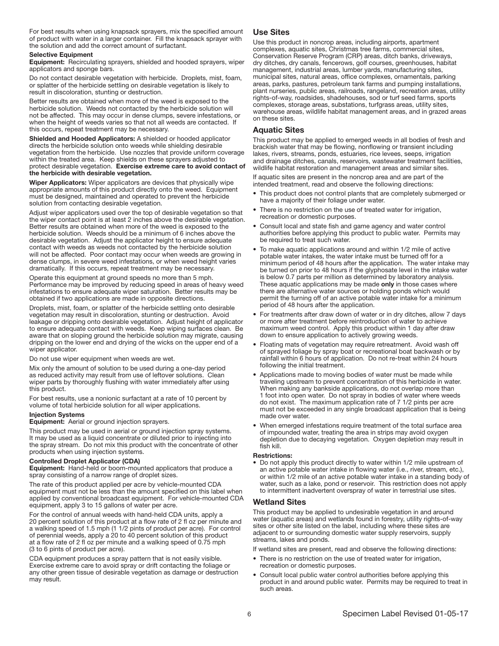For best results when using knapsack sprayers, mix the specified amount of product with water in a larger container. Fill the knapsack sprayer with the solution and add the correct amount of surfactant.

#### Selective Equipment

Equipment: Recirculating sprayers, shielded and hooded sprayers, wiper applicators and sponge bars.

Do not contact desirable vegetation with herbicide. Droplets, mist, foam, or splatter of the herbicide settling on desirable vegetation is likely to result in discoloration, stunting or destruction.

Better results are obtained when more of the weed is exposed to the herbicide solution. Weeds not contacted by the herbicide solution will not be affected. This may occur in dense clumps, severe infestations, or when the height of weeds varies so that not all weeds are contacted. If this occurs, repeat treatment may be necessary.

Shielded and Hooded Applicators: A shielded or hooded applicator directs the herbicide solution onto weeds while shielding desirable vegetation from the herbicide. Use nozzles that provide uniform coverage within the treated area. Keep shields on these sprayers adjusted to protect desirable vegetation. Exercise extreme care to avoid contact of the herbicide with desirable vegetation.

Wiper Applicators: Wiper applicators are devices that physically wipe appropriate amounts of this product directly onto the weed. Equipment must be designed, maintained and operated to prevent the herbicide solution from contacting desirable vegetation.

Adjust wiper applicators used over the top of desirable vegetation so that the wiper contact point is at least 2 inches above the desirable vegetation. Better results are obtained when more of the weed is exposed to the herbicide solution. Weeds should be a minimum of 6 inches above the desirable vegetation. Adjust the applicator height to ensure adequate contact with weeds as weeds not contacted by the herbicide solution will not be affected. Poor contact may occur when weeds are growing in dense clumps, in severe weed infestations, or when weed height varies dramatically. If this occurs, repeat treatment may be necessary.

Operate this equipment at ground speeds no more than 5 mph. Performance may be improved by reducing speed in areas of heavy weed infestations to ensure adequate wiper saturation. Better results may be obtained if two applications are made in opposite directions.

Droplets, mist, foam, or splatter of the herbicide settling onto desirable vegetation may result in discoloration, stunting or destruction. Avoid leakage or dripping onto desirable vegetation. Adjust height of applicator to ensure adequate contact with weeds. Keep wiping surfaces clean. Be aware that on sloping ground the herbicide solution may migrate, causing dripping on the lower end and drying of the wicks on the upper end of a wiper applicator.

Do not use wiper equipment when weeds are wet.

Mix only the amount of solution to be used during a one-day period as reduced activity may result from use of leftover solutions. Clean wiper parts by thoroughly flushing with water immediately after using this product.

For best results, use a nonionic surfactant at a rate of 10 percent by volume of total herbicide solution for all wiper applications.

#### Injection Systems

Equipment: Aerial or ground injection sprayers.

This product may be used in aerial or ground injection spray systems. It may be used as a liquid concentrate or diluted prior to injecting into the spray stream. Do not mix this product with the concentrate of other products when using injection systems.

### Controlled Droplet Applicator (CDA)

Equipment: Hand-held or boom-mounted applicators that produce a spray consisting of a narrow range of droplet sizes.

The rate of this product applied per acre by vehicle-mounted CDA equipment must not be less than the amount specified on this label when applied by conventional broadcast equipment. For vehicle-mounted CDA equipment, apply 3 to 15 gallons of water per acre.

For the control of annual weeds with hand-held CDA units, apply a 20 percent solution of this product at a flow rate of 2 fl oz per minute and a walking speed of 1.5 mph (1 1/2 pints of product per acre). For control of perennial weeds, apply a 20 to 40 percent solution of this product at a flow rate of 2 fl oz per minute and a walking speed of 0.75 mph (3 to 6 pints of product per acre).

CDA equipment produces a spray pattern that is not easily visible. Exercise extreme care to avoid spray or drift contacting the foliage or any other green tissue of desirable vegetation as damage or destruction may result.

#### Use Sites

Use this product in noncrop areas, including airports, apartment complexes, aquatic sites, Christmas tree farms, commercial sites, Conservation Reserve Program (CRP) areas, ditch banks, driveways, dry ditches, dry canals, fencerows, golf courses, greenhouses, habitat management, industrial areas, lumber yards, manufacturing sites, municipal sites, natural areas, office complexes, ornamentals, parking areas, parks, pastures, petroleum tank farms and pumping installations, plant nurseries, public areas, railroads, rangeland, recreation areas, utility rights-of-way, roadsides, shadehouses, sod or turf seed farms, sports complexes, storage areas, substations, turfgrass areas, utility sites, warehouse areas, wildlife habitat management areas, and in grazed areas on these sites.

## Aquatic Sites

This product may be applied to emerged weeds in all bodies of fresh and brackish water that may be flowing, nonflowing or transient including lakes, rivers, streams, ponds, estuaries, rice levees, seeps, irrigation and drainage ditches, canals, reservoirs, wastewater treatment facilities, wildlife habitat restoration and management areas and similar sites.

If aquatic sites are present in the noncrop area and are part of the intended treatment, read and observe the following directions:

- This product does not control plants that are completely submerged or have a majority of their foliage under water.
- There is no restriction on the use of treated water for irrigation, recreation or domestic purposes.
- Consult local and state fish and game agency and water control authorities before applying this product to public water. Permits may be required to treat such water.
- To make aquatic applications around and within 1/2 mile of active potable water intakes, the water intake must be turned off for a minimum period of 48 hours after the application. The water intake may be turned on prior to 48 hours if the glyphosate level in the intake water is below 0.7 parts per million as determined by laboratory analysis. These aquatic applications may be made only in those cases where there are alternative water sources or holding ponds which would permit the turning off of an active potable water intake for a minimum period of 48 hours after the application.
- For treatments after draw down of water or in dry ditches, allow 7 days or more after treatment before reintroduction of water to achieve maximum weed control. Apply this product within 1 day after draw down to ensure application to actively growing weeds.
- Floating mats of vegetation may require retreatment. Avoid wash off of sprayed foliage by spray boat or recreational boat backwash or by rainfall within 6 hours of application. Do not re-treat within 24 hours following the initial treatment.
- Applications made to moving bodies of water must be made while traveling upstream to prevent concentration of this herbicide in water. When making any bankside applications, do not overlap more than 1 foot into open water. Do not spray in bodies of water where weeds do not exist. The maximum application rate of 7 1/2 pints per acre must not be exceeded in any single broadcast application that is being made over water.
- When emerged infestations require treatment of the total surface area of impounded water, treating the area in strips may avoid oxygen depletion due to decaying vegetation. Oxygen depletion may result in fish kill.

#### Restrictions:

• Do not apply this product directly to water within 1/2 mile upstream of an active potable water intake in flowing water (i.e., river, stream, etc.), or within 1/2 mile of an active potable water intake in a standing body of water, such as a lake, pond or reservoir. This restriction does not apply to intermittent inadvertent overspray of water in terrestrial use sites.

#### Wetland Sites

This product may be applied to undesirable vegetation in and around water (aquatic areas) and wetlands found in forestry, utility rights-of-way sites or other site listed on the label, including where these sites are adjacent to or surrounding domestic water supply reservoirs, supply streams, lakes and ponds.

If wetland sites are present, read and observe the following directions:

- There is no restriction on the use of treated water for irrigation, recreation or domestic purposes.
- Consult local public water control authorities before applying this product in and around public water. Permits may be required to treat in such areas.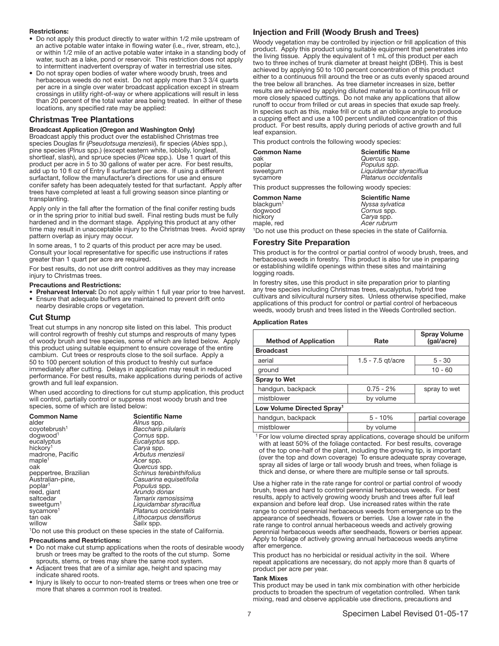#### Restrictions:

- Do not apply this product directly to water within 1/2 mile upstream of an active potable water intake in flowing water (i.e., river, stream, etc.), or within 1/2 mile of an active potable water intake in a standing body of water, such as a lake, pond or reservoir. This restriction does not apply to intermittent inadvertent overspray of water in terrestrial use sites.
- Do not spray open bodies of water where woody brush, trees and herbaceous weeds do not exist. Do not apply more than 3 3/4 quarts per acre in a single over water broadcast application except in stream crossings in utility right-of-way or where applications will result in less than 20 percent of the total water area being treated. In either of these locations, any specified rate may be applied:

#### Christmas Tree Plantations

#### Broadcast Application (Oregon and Washington Only)

Broadcast apply this product over the established Christmas tree species Douglas fir (*Pseudotsuga menziesii*), fir species (*Abies* spp.), pine species (*Pinus* spp.) (except eastern white, loblolly, longleaf, shortleaf, slash), and spruce species (*Picea* spp.). Use 1 quart of this product per acre in 5 to 30 gallons of water per acre. For best results, add up to 10 fl oz of Entry II surfactant per acre. If using a different surfactant, follow the manufacturer's directions for use and ensure conifer safety has been adequately tested for that surfactant. Apply after trees have completed at least a full growing season since planting or transplanting.

Apply only in the fall after the formation of the final conifer resting buds or in the spring prior to initial bud swell. Final resting buds must be fully hardened and in the dormant stage. Applying this product at any other time may result in unacceptable injury to the Christmas trees. Avoid spray pattern overlap as injury may occur.

In some areas, 1 to 2 quarts of this product per acre may be used. Consult your local representative for specific use instructions if rates greater than 1 quart per acre are required.

For best results, do not use drift control additives as they may increase injury to Christmas trees.

#### Precautions and Restrictions:

• Preharvest Interval: Do not apply within 1 full year prior to tree harvest. • Ensure that adequate buffers are maintained to prevent drift onto nearby desirable crops or vegetation.

# Cut Stump

Treat cut stumps in any noncrop site listed on this label. This product will control regrowth of freshly cut stumps and resprouts of many types of woody brush and tree species, some of which are listed below. Apply this product using suitable equipment to ensure coverage of the entire cambium. Cut trees or resprouts close to the soil surface. Apply a 50 to 100 percent solution of this product to freshly cut surface immediately after cutting. Delays in application may result in reduced performance. For best results, make applications during periods of active growth and full leaf expansion.

When used according to directions for cut stump application, this product will control, partially control or suppress most woody brush and tree species, some of which are listed below:

| <b>Common Name</b><br>alder | <b>Scientific Name</b><br>Alnus spp. |
|-----------------------------|--------------------------------------|
| coyotebrush <sup>1</sup>    | <b>Baccharis pilularis</b>           |
| dogwood <sup>1</sup>        | Cornus spp.                          |
| eucalyptus                  | Eucalyptus spp.                      |
| hickory <sup>1</sup>        | Carya spp.                           |
| madrone, Pacific            | Arbutus menziesii                    |
| maple <sup>1</sup>          | Acer spp.                            |
| oak                         | Quercus spp.                         |
| peppertree, Brazilian       | Schinus terebinthifolius             |
| Australian-pine,            | Casuarina equisetifolia              |
| poplar <sup>1</sup>         | <i>Populus spp.</i>                  |
| reed, giant                 | Arundo donax                         |
| saltcedar                   | Tamarix ramosissima                  |
| sweetgum <sup>1</sup>       | Liquidambar styraciflua              |
| sycamore <sup>1</sup>       | Platanus occidentalis                |
| tan oak                     | Lithocarpus densiflorus              |
| willow                      | Salix spp.                           |

<sup>1</sup>Do not use this product on these species in the state of California.

#### Precautions and Restrictions:

- Do not make cut stump applications when the roots of desirable woody brush or trees may be grafted to the roots of the cut stump. Some sprouts, stems, or trees may share the same root system.
- Adjacent trees that are of a similar age, height and spacing may indicate shared roots.
- Injury is likely to occur to non-treated stems or trees when one tree or more that shares a common root is treated.

# Injection and Frill (Woody Brush and Trees)

Woody vegetation may be controlled by injection or frill application of this product. Apply this product using suitable equipment that penetrates into the living tissue. Apply the equivalent of 1 mL of this product per each two to three inches of trunk diameter at breast height (DBH). This is best achieved by applying 50 to 100 percent concentration of this product either to a continuous frill around the tree or as cuts evenly spaced around the tree below all branches. As tree diameter increases in size, better results are achieved by applying diluted material to a continuous frill or more closely spaced cuttings. Do not make any applications that allow runoff to occur from frilled or cut areas in species that exude sap freely. In species such as this, make frill or cuts at an oblique angle to produce a cupping effect and use a 100 percent undiluted concentration of this product. For best results, apply during periods of active growth and full leaf expansion.

This product controls the following woody species:

| Common Name | <b>Scientific Name</b>  |
|-------------|-------------------------|
| oak         | Quercus spp.            |
| poplar      | Populus spp.            |
| sweetgum    | Liquidambar styraciflua |
| sycamore    | Platanus occidentalis   |

This product suppresses the following woody species:

**Common Name**<br>blackgum<sup>1</sup> Nyssa sylvatica blackgum<sup>1</sup> *Nyssa sylvatica* dogwood *Cornus* spp. hickory *Carya* spp. maple, red *Acer rubrum* <sup>1</sup>Do not use this product on these species in the state of California.

### Forestry Site Preparation

This product is for the control or partial control of woody brush, trees, and herbaceous weeds in forestry. This product is also for use in preparing or establishing wildlife openings within these sites and maintaining logging roads.

In forestry sites, use this product in site preparation prior to planting any tree species including Christmas trees, eucalyptus, hybrid tree cultivars and silvicultural nursery sites. Unless otherwise specified, make applications of this product for control or partial control of herbaceous weeds, woody brush and trees listed in the Weeds Controlled section. ľ

### Application Rates

| <b>Method of Application</b>           | Rate                | <b>Spray Volume</b><br>(gal/acre) |  |
|----------------------------------------|---------------------|-----------------------------------|--|
| <b>Broadcast</b>                       |                     |                                   |  |
| aerial                                 | 1.5 - $7.5$ gt/acre | $5 - 30$                          |  |
| ground                                 |                     | $10 - 60$                         |  |
| <b>Spray to Wet</b>                    |                     |                                   |  |
| handgun, backpack                      | $0.75 - 2%$         | spray to wet                      |  |
| mistblower                             | by volume           |                                   |  |
| Low Volume Directed Spray <sup>1</sup> |                     |                                   |  |
| handgun, backpack                      | $5 - 10%$           | partial coverage                  |  |
| mistblower                             | by volume           |                                   |  |

 $1$  For low volume directed spray applications, coverage should be uniform with at least 50% of the foliage contacted. For best results, coverage of the top one-half of the plant, including the growing tip, is important (over the top and down coverage) To ensure adequate spray coverage, spray all sides of large or tall woody brush and trees, when foliage is thick and dense, or where there are multiple sense or tall sprouts.

Use a higher rate in the rate range for control or partial control of woody brush, trees and hard to control perennial herbaceous weeds. For best results, apply to actively growing woody brush and trees after full leaf expansion and before leaf drop. Use increased rates within the rate range to control perennial herbaceous weeds from emergence up to the appearance of seedheads, flowers or berries. Use a lower rate in the rate range to control annual herbaceous weeds and actively growing perennial herbaceous weeds after seedheads, flowers or berries appear. Apply to foliage of actively growing annual herbaceous weeds anytime after emergence.

This product has no herbicidal or residual activity in the soil. Where repeat applications are necessary, do not apply more than 8 quarts of product per acre per year.

#### Tank Mixes

This product may be used in tank mix combination with other herbicide products to broaden the spectrum of vegetation controlled. When tank mixing, read and observe applicable use directions, precautions and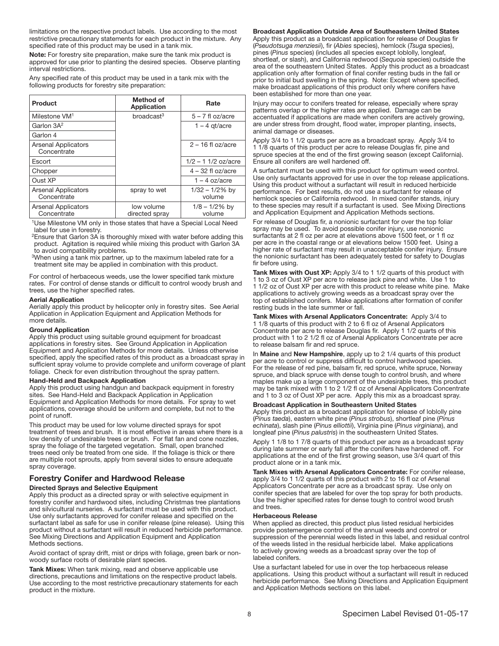limitations on the respective product labels. Use according to the most restrictive precautionary statements for each product in the mixture. Any specified rate of this product may be used in a tank mix.

Note: For forestry site preparation, make sure the tank mix product is approved for use prior to planting the desired species. Observe planting interval restrictions.

Any specified rate of this product may be used in a tank mix with the following products for forestry site preparation:

| Product                                   | Method of<br><b>Application</b> | Rate                        |
|-------------------------------------------|---------------------------------|-----------------------------|
| Milestone VM <sup>1</sup>                 | $b$ roadcast <sup>3</sup>       | $5 - 7$ fl oz/acre          |
| Garlon 3A <sup>2</sup>                    |                                 | $1 - 4$ qt/acre             |
| Garlon 4                                  |                                 |                             |
| <b>Arsenal Applicators</b><br>Concentrate |                                 | $2 - 16$ fl oz/acre         |
| Escort                                    |                                 | $1/2 - 1$ 1/2 oz/acre       |
| Chopper                                   |                                 | $4 - 32$ fl oz/acre         |
| Oust XP                                   |                                 | $1 - 4$ oz/acre             |
| <b>Arsenal Applicators</b><br>Concentrate | spray to wet                    | $1/32 - 1/2\%$ by<br>volume |
| <b>Arsenal Applicators</b><br>Concentrate | low volume<br>directed spray    | $1/8 - 1/2\%$ by<br>volume  |

<sup>1</sup>Use Milestone VM only in those states that have a Special Local Need label for use in forestry.

 $2$ Ensure that Garlon 3A is thoroughly mixed with water before adding this product. Agitation is required while mixing this product with Garlon 3A to avoid compatibility problems.

<sup>3</sup>When using a tank mix partner, up to the maximum labeled rate for a treatment site may be applied in combination with this product.

For control of herbaceous weeds, use the lower specified tank mixture rates. For control of dense stands or difficult to control woody brush and trees, use the higher specified rates.

#### Aerial Application

Aerially apply this product by helicopter only in forestry sites. See Aerial Application in Application Equipment and Application Methods for more details.

#### Ground Application

Apply this product using suitable ground equipment for broadcast applications in forestry sites. See Ground Application in Application Equipment and Application Methods for more details. Unless otherwise specified, apply the specified rates of this product as a broadcast spray in sufficient spray volume to provide complete and uniform coverage of plant foliage. Check for even distribution throughout the spray pattern.

#### Hand-Held and Backpack Application

Apply this product using handgun and backpack equipment in forestry sites. See Hand-Held and Backpack Application in Application Equipment and Application Methods for more details. For spray to wet applications, coverage should be uniform and complete, but not to the point of runoff.

This product may be used for low volume directed sprays for spot treatment of trees and brush. It is most effective in areas where there is a low density of undesirable trees or brush. For flat fan and cone nozzles, spray the foliage of the targeted vegetation. Small, open branched trees need only be treated from one side. If the foliage is thick or there are multiple root sprouts, apply from several sides to ensure adequate spray coverage.

# Forestry Conifer and Hardwood Release

#### Directed Sprays and Selective Equipment

Apply this product as a directed spray or with selective equipment in forestry conifer and hardwood sites, including Christmas tree plantations and silvicultural nurseries. A surfactant must be used with this product. Use only surfactants approved for conifer release and specified on the surfactant label as safe for use in conifer release (pine release). Using this product without a surfactant will result in reduced herbicide performance. See Mixing Directions and Application Equipment and Application Methods sections.

Avoid contact of spray drift, mist or drips with foliage, green bark or nonwoody surface roots of desirable plant species.

Tank Mixes: When tank mixing, read and observe applicable use directions, precautions and limitations on the respective product labels. Use according to the most restrictive precautionary statements for each product in the mixture.

Broadcast Application Outside Area of Southeastern United States Apply this product as a broadcast application for release of Douglas fir (*Pseudotsuga menziesii*), fir (*Abies* species), hemlock (*Tsuga* species), pines (*Pinus* species) (includes all species except loblolly, longleaf, shortleaf, or slash), and California redwood (*Sequoia* species) outside the area of the southeastern United States. Apply this product as a broadcast application only after formation of final conifer resting buds in the fall or prior to initial bud swelling in the spring. Note: Except where specified, make broadcast applications of this product only where conifers have been established for more than one year.

Injury may occur to conifers treated for release, especially where spray patterns overlap or the higher rates are applied. Damage can be accentuated if applications are made when conifers are actively growing, are under stress from drought, flood water, improper planting, insects, animal damage or diseases.

Apply 3/4 to 1 1/2 quarts per acre as a broadcast spray. Apply 3/4 to 1 1/8 quarts of this product per acre to release Douglas fir, pine and spruce species at the end of the first growing season (except California). Ensure all conifers are well hardened off.

A surfactant must be used with this product for optimum weed control. Use only surfactants approved for use in over the top release applications. Using this product without a surfactant will result in reduced herbicide performance. For best results, do not use a surfactant for release of hemlock species or California redwood. In mixed conifer stands, injury to these species may result if a surfactant is used. See Mixing Directions and Application Equipment and Application Methods sections.

For release of Douglas fir, a nonionic surfactant for over the top foliar spray may be used. To avoid possible conifer injury, use nonionic surfactants at 2 fl oz per acre at elevations above 1500 feet, or 1 fl oz per acre in the coastal range or at elevations below 1500 feet. Using a higher rate of surfactant may result in unacceptable conifer injury. Ensure the nonionic surfactant has been adequately tested for safety to Douglas fir before using.

Tank Mixes with Oust XP: Apply 3/4 to 1 1/2 quarts of this product with 1 to 3 oz of Oust XP per acre to release jack pine and white. Use 1 to 1 1/2 oz of Oust XP per acre with this product to release white pine. Make applications to actively growing weeds as a broadcast spray over the top of established conifers. Make applications after formation of conifer resting buds in the late summer or fall.

Tank Mixes with Arsenal Applicators Concentrate: Apply 3/4 to 1 1/8 quarts of this product with 2 to 6 fl oz of Arsenal Applicators Concentrate per acre to release Douglas fir. Apply 1 1/2 quarts of this product with 1 to 2 1/2 fl oz of Arsenal Applicators Concentrate per acre to release balsam fir and red spruce.

In Maine and New Hampshire, apply up to 2 1/4 quarts of this product per acre to control or suppress difficult to control hardwood species. For the release of red pine, balsam fir, red spruce, white spruce, Norway spruce, and black spruce with dense tough to control brush, and where maples make up a large component of the undesirable trees, this product may be tank mixed with 1 to 2 1/2 fl oz of Arsenal Applicators Concentrate and 1 to 3 oz of Oust XP per acre. Apply this mix as a broadcast spray.

#### Broadcast Application in Southeastern United States

Apply this product as a broadcast application for release of loblolly pine (*Pinus taeda*), eastern white pine (*Pinus strobus*), shortleaf pine (*Pinus echinata*), slash pine (*Pinus elliottii*), Virginia pine (*Pinus virginiana*), and longleaf pine (*Pinus palustris*) in the southeastern United States.

Apply 1 1/8 to 1 7/8 quarts of this product per acre as a broadcast spray during late summer or early fall after the conifers have hardened off. For applications at the end of the first growing season, use 3/4 quart of this product alone or in a tank mix.

Tank Mixes with Arsenal Applicators Concentrate: For conifer release, apply 3/4 to 1 1/2 quarts of this product with 2 to 16 fl oz of Arsenal Applicators Concentrate per acre as a broadcast spray. Use only on conifer species that are labeled for over the top spray for both products. Use the higher specified rates for dense tough to control wood brush and trees.

#### Herbaceous Release

When applied as directed, this product plus listed residual herbicides provide postemergence control of the annual weeds and control or suppression of the perennial weeds listed in this label, and residual control of the weeds listed in the residual herbicide label. Make applications to actively growing weeds as a broadcast spray over the top of labeled conifers.

Use a surfactant labeled for use in over the top herbaceous release applications. Using this product without a surfactant will result in reduced herbicide performance. See Mixing Directions and Application Equipment and Application Methods sections on this label.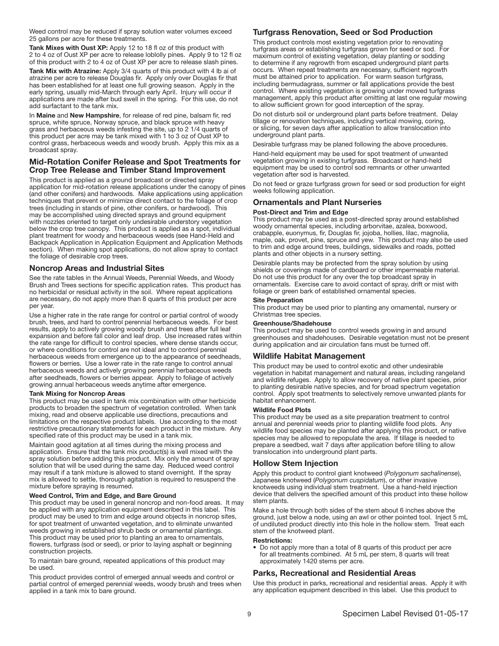Weed control may be reduced if spray solution water volumes exceed 25 gallons per acre for these treatments.

Tank Mixes with Oust XP: Apply 12 to 18 fl oz of this product with 2 to 4 oz of Oust XP per acre to release loblolly pines. Apply 9 to 12 fl oz of this product with 2 to 4 oz of Oust XP per acre to release slash pines.

Tank Mix with Atrazine: Apply 3/4 quarts of this product with 4 lb ai of atrazine per acre to release Douglas fir. Apply only over Douglas fir that has been established for at least one full growing season. Apply in the early spring, usually mid-March through early April. Injury will occur if applications are made after bud swell in the spring. For this use, do not add surfactant to the tank mix.

In Maine and New Hampshire, for release of red pine, balsam fir, red spruce, white spruce, Norway spruce, and black spruce with heavy grass and herbaceous weeds infesting the site, up to 2 1/4 quarts of this product per acre may be tank mixed with 1 to 3 oz of Oust XP to control grass, herbaceous weeds and woody brush. Apply this mix as a broadcast spray.

# Mid-Rotation Conifer Release and Spot Treatments for Crop Tree Release and Timber Stand Improvement

This product is applied as a ground broadcast or directed spray application for mid-rotation release applications under the canopy of pines (and other conifers) and hardwoods. Make applications using application techniques that prevent or minimize direct contact to the foliage of crop trees (including in stands of pine, other conifers, or hardwood). This may be accomplished using directed sprays and ground equipment with nozzles oriented to target only undesirable understory vegetation below the crop tree canopy. This product is applied as a spot, individual plant treatment for woody and herbaceous weeds (see Hand-Held and Backpack Application in Application Equipment and Application Methods section). When making spot applications, do not allow spray to contact the foliage of desirable crop trees.

### Noncrop Areas and Industrial Sites

See the rate tables in the Annual Weeds, Perennial Weeds, and Woody Brush and Trees sections for specific application rates. This product has no herbicidal or residual activity in the soil. Where repeat applications are necessary, do not apply more than 8 quarts of this product per acre per year.

Use a higher rate in the rate range for control or partial control of woody brush, trees, and hard to control perennial herbaceous weeds. For best results, apply to actively growing woody brush and trees after full leaf expansion and before fall color and leaf drop. Use increased rates within the rate range for difficult to control species, where dense stands occur, or where conditions for control are not ideal and to control perennial herbaceous weeds from emergence up to the appearance of seedheads, flowers or berries. Use a lower rate in the rate range to control annual herbaceous weeds and actively growing perennial herbaceous weeds after seedheads, flowers or berries appear. Apply to foliage of actively growing annual herbaceous weeds anytime after emergence.

#### Tank Mixing for Noncrop Areas

This product may be used in tank mix combination with other herbicide products to broaden the spectrum of vegetation controlled. When tank mixing, read and observe applicable use directions, precautions and limitations on the respective product labels. Use according to the most restrictive precautionary statements for each product in the mixture. Any specified rate of this product may be used in a tank mix.

Maintain good agitation at all times during the mixing process and application. Ensure that the tank mix product(s) is well mixed with the spray solution before adding this product. Mix only the amount of spray solution that will be used during the same day. Reduced weed control may result if a tank mixture is allowed to stand overnight. If the spray mix is allowed to settle, thorough agitation is required to resuspend the mixture before spraying is resumed.

#### Weed Control, Trim and Edge, and Bare Ground

This product may be used in general noncrop and non-food areas. It may be applied with any application equipment described in this label. This product may be used to trim and edge around objects in noncrop sites, for spot treatment of unwanted vegetation, and to eliminate unwanted weeds growing in established shrub beds or ornamental plantings. This product may be used prior to planting an area to ornamentals, flowers, turfgrass (sod or seed), or prior to laying asphalt or beginning construction projects.

To maintain bare ground, repeated applications of this product may be used.

This product provides control of emerged annual weeds and control or partial control of emerged perennial weeds, woody brush and trees when applied in a tank mix to bare ground.

# Turfgrass Renovation, Seed or Sod Production

This product controls most existing vegetation prior to renovating turfgrass areas or establishing turfgrass grown for seed or sod. For maximum control of existing vegetation, delay planting or sodding to determine if any regrowth from escaped underground plant parts occurs. When repeat treatments are necessary, sufficient regrowth must be attained prior to application. For warm season turfgrass, including bermudagrass, summer or fall applications provide the best control. Where existing vegetation is growing under mowed turfgrass management, apply this product after omitting at last one regular mowing to allow sufficient grown for good interception of the spray.

Do not disturb soil or underground plant parts before treatment. Delay tillage or renovation techniques, including vertical mowing, coring, or slicing, for seven days after application to allow translocation into underground plant parts.

Desirable turfgrass may be planed following the above procedures. Hand-held equipment may be used for spot treatment of unwanted vegetation growing in existing turfgrass. Broadcast or hand-held equipment may be used to control sod remnants or other unwanted vegetation after sod is harvested.

Do not feed or graze turfgrass grown for seed or sod production for eight weeks following application.

# Ornamentals and Plant Nurseries

#### Post-Direct and Trim and Edge

This product may be used as a post-directed spray around established woody ornamental species, including arborvitae, azalea, boxwood, crabapple, euonymus, fir, Douglas fir, jojoba, hollies, lilac, magnolia, maple, oak, provet, pine, spruce and yew. This product may also be used to trim and edge around trees, buildings, sidewalks and roads, potted plants and other objects in a nursery setting.

Desirable plants may be protected from the spray solution by using shields or coverings made of cardboard or other impermeable material. Do not use this product for any over the top broadcast spray in ornamentals. Exercise care to avoid contact of spray, drift or mist with foliage or green bark of established ornamental species.

#### Site Preparation

This product may be used prior to planting any ornamental, nursery or Christmas tree species.

#### Greenhouse/Shadehouse

This product may be used to control weeds growing in and around greenhouses and shadehouses. Desirable vegetation must not be present during application and air circulation fans must be turned off.

# Wildlife Habitat Management

This product may be used to control exotic and other undesirable vegetation in habitat management and natural areas, including rangeland and wildlife refuges. Apply to allow recovery of native plant species, prior to planting desirable native species, and for broad spectrum vegetation control. Apply spot treatments to selectively remove unwanted plants for habitat enhancement.

#### Wildlife Food Plots

This product may be used as a site preparation treatment to control annual and perennial weeds prior to planting wildlife food plots. Any wildlife food species may be planted after applying this product, or native species may be allowed to repopulate the area. If tillage is needed to prepare a seedbed, wait 7 days after application before tilling to allow translocation into underground plant parts.

# Hollow Stem Injection

Apply this product to control giant knotweed (*Polygonum sachalinense*), Japanese knotweed (*Polygonum cuspidatum*), or other invasive knotweeds using individual stem treatment. Use a hand-held injection device that delivers the specified amount of this product into these hollow stem plants.

Make a hole through both sides of the stem about 6 inches above the ground, just below a node, using an awl or other pointed tool. Inject 5 mL of undiluted product directly into this hole in the hollow stem. Treat each stem of the knotweed plant.

#### Restrictions:

• Do not apply more than a total of 8 quarts of this product per acre for all treatments combined. At 5 mL per stem, 8 quarts will treat approximately 1420 stems per acre.

# Parks, Recreational and Residential Areas

Use this product in parks, recreational and residential areas. Apply it with any application equipment described in this label. Use this product to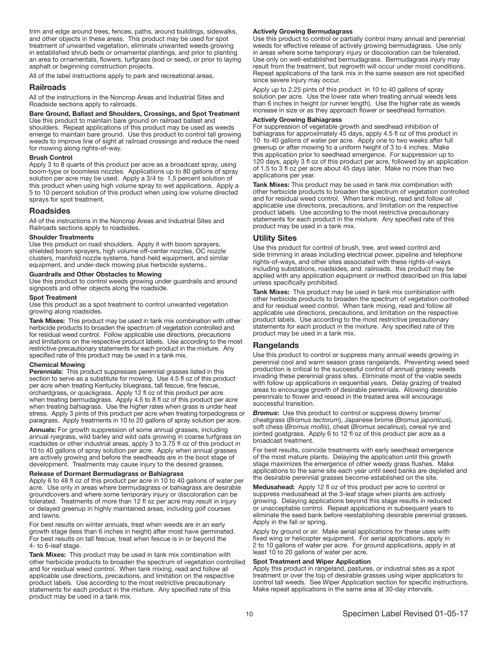trim and edge around trees, fences, paths, around buildings, sidewalks, and other objects in these areas. This product may be used for spot treatment of unwanted vegetation, eliminate unwanted weeds growing in established shrub beds or ornamental plantings, and prior to planting an area to ornamentals, flowers, turfgrass (sod or seed), or prior to laying asphalt or beginning construction projects.

All of the label instructions apply to park and recreational areas.

#### Railroads

All of the instructions in the Noncrop Areas and Industrial Sites and Roadside sections apply to railroads.

#### Bare Ground, Ballast and Shoulders, Crossings, and Spot Treatment

Use this product to maintain bare ground on railroad ballast and shoulders. Repeat applications of this product may be used as weeds emerge to maintain bare ground. Use this product to control tall growing weeds to improve line of sight at railroad crossings and reduce the need for mowing along rights-of-way.

#### Brush Control

Apply 3 to 8 quarts of this product per acre as a broadcast spray, using boom-type or boomless nozzles. Applications up to 80 gallons of spray solution per acre may be used. Apply a 3/4 to 1.5 percent solution of this product when using high volume spray to wet applications. Apply a 5 to 10 percent solution of this product when using low volume directed sprays for spot treatment.

#### Roadsides

All of the instructions in the Noncrop Areas and Industrial Sites and Railroads sections apply to roadsides.

#### Shoulder Treatments

Use this product on road shoulders. Apply it with boom sprayers, shielded boom sprayers, high volume off-center nozzles, OC nozzle clusters, manifold nozzle systems, hand-held equipment, and similar equipment, and under-deck mowing plus herbicide systems..

## Guardrails and Other Obstacles to Mowing

Use this product to control weeds growing under guardrails and around signposts and other objects along the roadside.

#### Spot Treatment

Use this product as a spot treatment to control unwanted vegetation growing along roadsides.

Tank Mixes: This product may be used in tank mix combination with other herbicide products to broaden the spectrum of vegetation controlled and for residual weed control. Follow applicable use directions, precautions and limitations on the respective product labels. Use according to the most restrictive precautionary statements for each product in the mixture. Any specified rate of this product may be used in a tank mix.

#### Chemical Mowing

Perennials: This product suppresses perennial grasses listed in this section to serve as a substitute for mowing. Use 4.5 fl oz of this product per acre when treating Kentucky bluegrass, tall fescue, fine fescue, orchardgrass, or quackgrass. Apply 12 fl oz of this product per acre when treating bermudagrass. Apply 4.5 to 8 fl oz of this product per acre when treating bahiagrass. Use the higher rates when grass is under heat stress. Apply 3 pints of this product per acre when treating torpedograss or paragrass. Apply treatments in 10 to 20 gallons of spray solution per acre.

Annuals: For growth suppression of some annual grasses, including annual ryegrass, wild barley and wild oats growing in coarse turfgrass on roadsides or other industrial areas, apply 3 to 3.75 fl oz of this product in 10 to 40 gallons of spray solution per acre. Apply when annual grasses are actively growing and before the seedheads are in the boot stage of development. Treatments may cause injury to the desired grasses.

#### Release of Dormant Bermudagrass or Bahiagrass

Apply 6 to 48 fl oz of this product per acre in 10 to 40 gallons of water per acre. Use only in areas where bermudagrass or bahiagrass are desirable groundcovers and where some temporary injury or discoloration can be tolerated. Treatments of more than 12 fl oz per acre may result in injury or delayed greenup in highly maintained areas, including golf courses and lawns.

For best results on winter annuals, treat when weeds are in an early growth stage (less than 6 inches in height) after most have germinated. For best results on tall fescue, treat when fescue is in or beyond the 4- to 6-leaf stage.

Tank Mixes: This product may be used in tank mix combination with other herbicide products to broaden the spectrum of vegetation controlled and for residual weed control. When tank mixing, read and follow all applicable use directions, precautions, and limitation on the respective product labels. Use according to the most restrictive precautionary statements for each product in the mixture. Any specified rate of this product may be used in a tank mix.

#### Actively Growing Bermudagrass

Use this product to control or partially control many annual and perennial weeds for effective release of actively growing bermudagrass. Use only in areas where some temporary injury or discoloration can be tolerated. Use only on well-established bermudagrass. Bermudagrass injury may result from the treatment, but regrowth will occur under moist conditions. Repeat applications of the tank mix in the same season are not specified since severe injury may occur.

Apply up to 2.25 pints of this product in 10 to 40 gallons of spray solution per acre. Use the lower rate when treating annual weeds less than 6 inches in height (or runner length). Use the higher rate as weeds increase in size or as they approach flower or seedhead formation.

#### Actively Growing Bahiagrass

For suppression of vegetable growth and seedhead inhibition of bahiagrass for approximately 45 days, apply 4.5 fl oz of this product in 10 to 40 gallons of water per acre. Apply one to two weeks after full greenup or after mowing to a uniform height of 3 to 4 inches. Make this application prior to seedhead emergence. For suppression up to 120 days, apply 3 fl oz of this product per acre, followed by an application of 1.5 to 3 fl oz per acre about 45 days later. Make no more than two applications per year.

Tank Mixes: This product may be used in tank mix combination with other herbicide products to broaden the spectrum of vegetation controlled and for residual weed control. When tank mixing, read and follow all applicable use directions, precautions, and limitation on the respective product labels. Use according to the most restrictive precautionary statements for each product in the mixture. Any specified rate of this product may be used in a tank mix.

#### Utility Sites

Use this product for control of brush, tree, and weed control and side trimming in areas including electrical power, pipeline and telephone rights-of-ways, and other sites associated with these rights-of-ways including substations, roadsides, and railroads. this product may be applied with any application equipment or method described on this label unless specifically prohibited.

Tank Mixes: This product may be used in tank mix combination with other herbicide products to broaden the spectrum of vegetation controlled and for residual weed control. When tank mixing, read and follow all applicable use directions, precautions, and limitation on the respective product labels. Use according to the most restrictive precautionary statements for each product in the mixture. Any specified rate of this product may be used in a tank mix.

#### Rangelands

Use this product to control or suppress many annual weeds growing in perennial cool and warm season grass rangelands. Preventing weed seed production is critical to the successful control of annual grassy weeds invading these perennial grass sites. Eliminate most of the viable seeds with follow up applications in sequential years. Delay grazing of treated areas to encourage growth of desirable perennials. Allowing desirable perennials to flower and reseed in the treated area will encourage successful transition.

*Bromus*: Use this product to control or suppress downy brome/ cheatgrass (*Bromus tectorum*), Japanese brome (*Bromus japonicus*), soft chess (*Bromus mollis*), cheat (*Bromus secalinus*), cereal rye and jointed goatgrass. Apply 6 to 12 fl oz of this product per acre as a broadcast treatment.

For best results, coincide treatments with early seedhead emergence of the most mature plants. Delaying the application until this growth stage maximizes the emergence of other weedy grass flushes. Make applications to the same site each year until seed banks are depleted and the desirable perennial grasses become established on the site.

Medusahead: Apply 12 fl oz of this product per acre to control or suppress medusahead at the 3-leaf stage when plants are actively growing. Delaying applications beyond this stage results in reduced or unacceptable control. Repeat applications in subsequent years to eliminate the seed bank before reestablishing desirable perennial grasses. Apply in the fall or spring.

Apply by ground or air. Make aerial applications for these uses with fixed wing or helicopter equipment. For aerial applications, apply in 2 to 10 gallons of water per acre. For ground applications, apply in at least 10 to 20 gallons of water per acre.

#### Spot Treatment and Wiper Application

Apply this product in rangeland, pastures, or industrial sites as a spot treatment or over the top of desirable grasses using wiper applicators to control tall weeds. See Wiper Application section for specific instructions. Make repeat applications in the same area at 30-day intervals.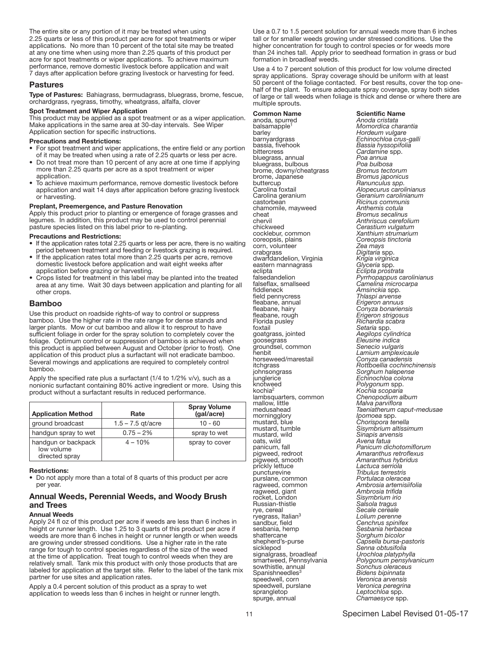The entire site or any portion of it may be treated when using 2.25 quarts or less of this product per acre for spot treatments or wiper applications. No more than 10 percent of the total site may be treated at any one time when using more than 2.25 quarts of this product per acre for spot treatments or wiper applications. To achieve maximum performance, remove domestic livestock before application and wait 7 days after application before grazing livestock or harvesting for feed.

# Pastures

Type of Pastures: Bahiagrass, bermudagrass, bluegrass, brome, fescue, orchardgrass, ryegrass, timothy, wheatgrass, alfalfa, clover

#### Spot Treatment and Wiper Application

This product may be applied as a spot treatment or as a wiper application. Make applications in the same area at 30-day intervals. See Wiper Application section for specific instructions.

#### Precautions and Restrictions:

- For spot treatment and wiper applications, the entire field or any portion of it may be treated when using a rate of 2.25 quarts or less per acre.
- Do not treat more than 10 percent of any acre at one time if applying more than 2.25 quarts per acre as a spot treatment or wiper application.
- To achieve maximum performance, remove domestic livestock before application and wait 14 days after application before grazing livestock or harvesting.

#### Preplant, Preemergence, and Pasture Renovation

Apply this product prior to planting or emergence of forage grasses and legumes. In addition, this product may be used to control perennial pasture species listed on this label prior to re-planting.

#### Precautions and Restrictions:

- If the application rates total 2.25 quarts or less per acre, there is no waiting period between treatment and feeding or livestock grazing is required.
- If the application rates total more than 2.25 quarts per acre, remove domestic livestock before application and wait eight weeks after application before grazing or harvesting.
- Crops listed for treatment in this label may be planted into the treated area at any time. Wait 30 days between application and planting for all other crops.

# Bamboo

Use this product on roadside rights-of way to control or suppress bamboo. Use the higher rate in the rate range for dense stands and larger plants. Mow or cut bamboo and allow it to resprout to have sufficient foliage in order for the spray solution to completely cover the foliage. Optimum control or suppression of bamboo is achieved when this product is applied between August and October (prior to frost). One application of this product plus a surfactant will not eradicate bamboo. Several mowings and applications are required to completely control bamboo.

Apply the specified rate plus a surfactant (1/4 to 1/2% v/v), such as a nonionic surfactant containing 80% active ingredient or more. Using this product without a surfactant results in reduced performance.

| <b>Application Method</b>                           | Rate                | <b>Spray Volume</b><br>(gal/acre) |
|-----------------------------------------------------|---------------------|-----------------------------------|
| ground broadcast                                    | $1.5 - 7.5$ qt/acre | $10 - 60$                         |
| handgun spray to wet                                | $0.75 - 2\%$        | spray to wet                      |
| handgun or backpack<br>low volume<br>directed spray | $4 - 10%$           | spray to cover                    |

#### Ī Restrictions:

• Do not apply more than a total of 8 quarts of this product per acre per year.

# Annual Weeds, Perennial Weeds, and Woody Brush and Trees

#### Annual Weeds

Apply 24 fl oz of this product per acre if weeds are less than 6 inches in height or runner length. Use 1.25 to 3 quarts of this product per acre if weeds are more than 6 inches in height or runner length or when weeds are growing under stressed conditions. Use a higher rate in the rate range for tough to control species regardless of the size of the weed at the time of application. Treat tough to control weeds when they are relatively small. Tank mix this product with only those products that are labeled for application at the target site. Refer to the label of the tank mix partner for use sites and application rates.

Apply a 0.4 percent solution of this product as a spray to wet application to weeds less than 6 inches in height or runner length. Use a 0.7 to 1.5 percent solution for annual weeds more than 6 inches tall or for smaller weeds growing under stressed conditions. Use the higher concentration for tough to control species or for weeds more than 24 inches tall. Apply prior to seedhead formation in grass or bud formation in broadleaf weeds.

Use a 4 to 7 percent solution of this product for low volume directed spray applications. Spray coverage should be uniform with at least 50 percent of the foliage contacted. For best results, cover the top onehalf of the plant. To ensure adequate spray coverage, spray both sides of large or tall weeds when foliage is thick and dense or where there are multiple sprouts.

**Common Name**<br>
anoda, spurred<br>
Anoda cristata anoda, spurred<br>balsamapple<sup>1</sup> balsamapple1 *Momordica charantia* barley *Hordeum vulgare* bassia, fivehook *Bassia hyssopifolia* bittercress *Cardamine* spp. bluegrass, annual *Poa annua* bluegrass, bulbous *Poa bulbosa* brome, downy/cheatgrass<br>brome, Japanese brome, Japanese *Bromus japonicus* buttercup *Ranunculus spp.* Carolina foxtail *Alopecurus carolinianus* Carolina geranium *Geranium carolinianum* chamomile, mayweed<br>cheat cheat *Bromus secalinus* chervil *Anthriscus cerefolium* cocklebur, common *Xanthium strumarium* coreopsis, plains<br>corn, volunteer<br>crabgrass crabgrass *Digitaria* spp. dwarfdandelion, Virginia *Krigia virginica* eastern mannagrass **Glyceria spp.**<br>
eclipta *Eclipta prostrata*<br>
falsedandelion *Pyrrhopappus ca* falsedandelion *Pyrrhopappus carolinianus* falseflax, smallseed *Camelina microcarpa* fiddleneck *Amsinckia* spp. field pennycress *Thlaspi arvense* fleabane, annual<br>fleabane, hairy fleabane, rough *Erigeron strigosus* Florida pusley *Richardia scabra* Forida pusley<br>
Forida pusley<br>
foxtail *Setaria* spp.<br>
goatgrass, jointed *Aegilops cylindrica*<br>
goosegrass *Eleusine indica* groundsel, common<br>henbit henbit *Lamium amplexicaule* horseweed/marestail *Conyza canadensis* itchgrass *Rottboellia cochinchinensis* johnsongrass *Sorghum halepense* junglerice *Echinochloa colona* knotweed *Polygonum* spp. kochia2 *Kochia scoparia* lambsquarters, common *Chenopodium album* mallow, little *Malva parviflora* morningglory<br> **IPOMOGLET IPOMOGLET IN CHORISPORA TENELLA**<br>
Sisymbrium altissii mustard, tumble *Sisymbrium altissimum* mustard, wild *Sinapis arvensis* oats, wild *Avena fatua* panicum, fall *Panicum dichotomiflorum* pigweed, smooth<br>prickly lettuce puncturevine *Tribulus terrestris* purslane, common<br>ragweed, common ragweed, giant<br>rocket, London Russian-thistle<br>rye, cereal ryegrass, Italian<sup>3</sup><br>sandbur, field sandbur, field *Cenchrus spinifex* sesbania, hemp *Sesbania herbacea* shattercane *Sorghum bicolor* shepherd's-purse *Capsella bursa-pastoris* signalgrass, broadleaf<br>smartweed, Pennsylvania smartweed, Pennsylvania *Polygonum pensylvanicum* sowthistle, annual *Sonchus oleraceus* Spanishneedles<sup>3</sup> *Bidens bipinnata* speedwell, corn *Veronica arvensis* speedwell, purslane *Veronica peregri*nal *Veronica peregrinal*<br> *Leptochloa* spp. spurge, annual **Chamaesyce** spp.

barnyardgrass *Echinochloa crus-galli* Ricinus communis<br>Anthemis cotula Cerastium vulgatum<br>Xanthium strumarium Coreopsis tinctoria<br>Zea mays<br>Digitaria spp. fleabane, hairy *Conyza bonariensis* goosegrass *Eleusine indica* medusahead *Taeniatherum caput-medusae* pigweed, redroot *Amaranthus retroflexus* prickly lettuce *Lactuca serriola* Ambrosia artemisiifolia<br>Ambrosia trifida Sisymbrium irio<br>Salsola tragus Secale cereale<br>Lolium perenne Senna obtusifolia<br>Urochloa platyphylla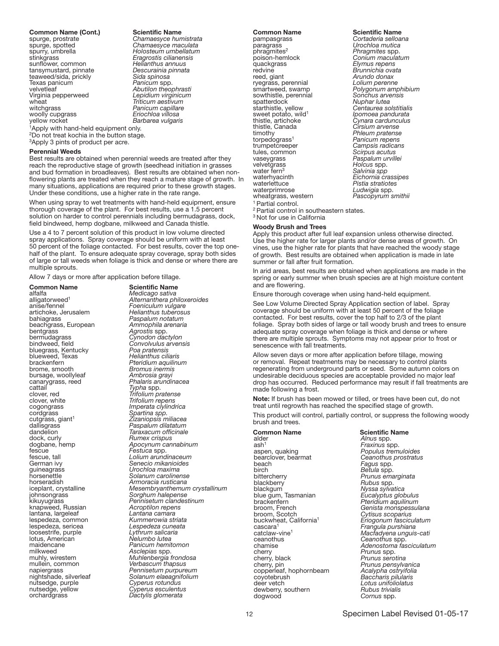**Common Name (Cont.)** Scientific Name<br>spurge, prostrate Chamaesyce hun spurge, prostrate *Chamaesyce humistrata* spurge, spotted *Chamaesyce maculata* spurry, umbrella *Holosteum umbellatum* sunflower, common *Helianthus annuus* tansymustard, pinnate *Descurainia pinnata* teaweed/sida, prickly<br>Texas panicum<br>velvetleaf Texas panicum *Panicum* spp. velvetleaf *Abutilon theophrasti* Virginia pepperweed *Lepidium virginicum* wheat *Triticum aestivum* witchgrass *Panicum capillare* woolly cupgrass *Eriochloa villosa*

stinkgrass *Eragrostis cilianensis* Barbarea vulgaris

<sup>1</sup>Apply with hand-held equipment only. <sup>2</sup>Do not treat kochia in the button stage. <sup>3</sup>Apply 3 pints of product per acre.

#### Perennial Weeds

Best results are obtained when perennial weeds are treated after they reach the reproductive stage of growth (seedhead initiation in grasses and bud formation in broadleaves). Best results are obtained when nonflowering plants are treated when they reach a mature stage of growth. In many situations, applications are required prior to these growth stages. Under these conditions, use a higher rate in the rate range.

When using spray to wet treatments with hand-held equipment, ensure thorough coverage of the plant. For best results, use a 1.5 percent solution on harder to control perennials including bermudagrass, dock, field bindweed, hemp dogbane, milkweed and Canada thistle.

Use a 4 to 7 percent solution of this product in low volume directed spray applications. Spray coverage should be uniform with at least 50 percent of the foliage contacted. For best results, cover the top onehalf of the plant. To ensure adequate spray coverage, spray both sides of large or tall weeds when foliage is thick and dense or where there are multiple sprouts.

Allow 7 days or more after application before tillage.

**Common Name**<br>
alfalfa<br>
Medicago sativa anise<br>
aligatorweed<br> **Alternanthera philox**<br> *Foeniculum vulgare*<br> *Foeniculum vulgare*<br> *Foeniculum vulgare*<br> *Helianthus tuberosu* artichoke, Jerusalem *Helianthus tuberosus* beachgrass, European<br>bentgrass bentgrass *Agrostis* spp. bermudagrass *Cynodon dactylon* bluegrass, Kentucky *Poa pratensis* blueweed, Texas *Helianthus ciliaris* blueweed, Texas<br>
brackenfern **Pteridium aquilinum**<br>
brome. smooth *Pteridium aquilinum*<br> *Promus inermis* brome, smooth *Bromus inermis* bursage, woollyleaf<br>canarygrass, reed canarygrass, reed<br>
canarygrass, reed<br> *Phalaris arundinacea*<br> *Phalaris arundinacea*<br> *Cattail* cattail *Typha* spp. clover, red *Trifolium pratense* clover, white *Trifolium repens* cogongrass *Imperata clylindrica* cordgrass *Spartina spp.* cutgrass, giant<sup>1</sup> *Zizaniopsis miliacea* dallisgrass *Paspalum dilatatum* dallisgrass *Paspalum dilatatum*<br>dandelion *Taraxacum officinale*<br>dock, curly *Rumex crispus* Festuca **Festucal Contract Contract Contract Contract Contract Contract Contract Contract Contract Contract Contract Contract Contract Contract Contract Contract Contract Contract Contract Contract Contract Contract Contra** German ivy *Senecio mikanioides* guineagrass *Urochloa maxima* horsenettle *Solanum carolinense* horseradish *Armoracia rusticana* johnsongrass *Sorghum halepense* knapweed, Russian *Acroptilon repen*<br>Iantana, largeleaf *Lantana camara* lantana, largeleaf *Lantana camara*  $lespedeza, common$ loosestrife, purple *Lythrum salicaria* lotus, American *Nelumbo lutea* maidencane *Panicum hemitomon*<br>milkweed *Asclepias* spp. muhly, wirestem **Assume** *Muhlenbergia frondosa*<br> **Assume** *Verbascum thapsus* mullein, common *Verbascum thapsus* nutsedge, purple *Cyperus rotundus* nutsedge, yellow *Cyperus esculentus* orchardgrass *Dactylis glomerata*

alfalfa *Medicago sativa* alligatorweed1 *Alternanthera philoxeroides* Paspalum notatum<br>Ammophila arenaria bindweed, field *Convolvulus arvensis* dock, curly *Rumex crispus* dogbane, hemp *Apocynum cannabinum* iceplant, crystalline *Mesembryanthemum crystallinum* Pennisetum clandestinum<br>Acroptilon repens Lespedeza cuneata<br>Lythrum salicaria napiergrass *Pennisetum purpureum* nightshade, silverleaf *Solanum elaeagnifolium*

**Common Name**<br>
pampasgrass<br>
Cortaderia selloa pampasgrass *Cortaderia selloana* paragrass *Urochloa mutica* poison-hemlock *Conium maculatum*<br>2 *Phymus repens Phymus repens* quackgrass *Elymus repens* redvine *Brunnichia ovata* ryegrass, perennial<br>smartweed, swamp sowthistle, perennial<br>spatterdock starthistle, yellow *Centaurea solstitialis* sweet potato, wild1 *Ipomoea pandurata* Final *Cherry potato*, whistle, artichoke<br>thistle, Canada<br>timothy timothy *Phleum pratense* torpedograss1 *Panicum repens* trumpetcreeper *Campsis radicans* tules, common *Scirpus acutus* velvetgrass *Holcus* spp. water fern3 *Salvinia spp* waterhyacinth *Eichornia crassipes* waterlettuce *Pistia stratiotes* wheatgrass, western **Pascopyrum** smithii <sup>1</sup> Partial control.

Arundo donax Lolium perenne<br>Polygonum amphibium<br>Sonchus arvensis spatterdock *Nuphar lutea* thistle, artichoke *Cynara cardunculus* Paspalum urvillei<br>*Holcus spp.* 

<sup>2</sup> Partial control in southeastern states.

<sup>3</sup> Not for use in California

#### Woody Brush and Trees

Apply this product after full leaf expansion unless otherwise directed. Use the higher rate for larger plants and/or dense areas of growth. On vines, use the higher rate for plants that have reached the woody stage of growth. Best results are obtained when application is made in late summer or fall after fruit formation.

In arid areas, best results are obtained when applications are made in the spring or early summer when brush species are at high moisture content and are flowering.

Ensure thorough coverage when using hand-held equipment.

See Low Volume Directed Spray Application section of label. Spray coverage should be uniform with at least 50 percent of the foliage contacted. For best results, cover the top half to 2/3 of the plant foliage. Spray both sides of large or tall woody brush and trees to ensure adequate spray coverage when foliage is thick and dense or where there are multiple sprouts. Symptoms may not appear prior to frost or senescence with fall treatments.

Allow seven days or more after application before tillage, mowing or removal. Repeat treatments may be necessary to control plants regenerating from underground parts or seed. Some autumn colors on undesirable deciduous species are acceptable provided no major leaf drop has occurred. Reduced performance may result if fall treatments are made following a frost.

Note: If brush has been mowed or tilled, or trees have been cut, do not treat until regrowth has reached the specified stage of growth.

This product will control, partially control, or suppress the following woody brush and trees.

**Common Name**<br>alder **Scientific Name**<br>Alnus spp. ash<sup>1</sup><br>1999 aspen, quaking *Populus tremuloides*<br>1991 bearclover, bearmat *Populus tremuloides* beach *Fagus* spp. birch *Betula* spp. bittercherry *Prunus emarginata* blackberry *Rubus* spp. blackgum *Nyssa sylvatica* blue gum, Tasmanian<br>brackenfern brackenfern *Pteridium aquilinum* broom, French *Genista monspessulana* broom, Scotch *Cytisus scoparius* buckwheat, California<sup>1</sup>*Eriogonum fasciculatum* cascara1 *Frangula purshiana* catclaw-vine1 *Macfadyena unguis-cati* chamise *Ceanotoma fasciculatum*<br>
Chamise *Ceanotoma Frunus* spp.<br> *Chamise <i>Frunus Serotina* cherry, pin *Prunus pensylvanica* copperleaf, hophornbeam *Acalypha ostryifolia* coyotebrush *Baccharis pilularis* deer vetch *Lotus unifoliolatus* dewberry, southern *Rubus trivialis* dogwood *Cornus* spp.

Ceanothus prostratus<br>Fagus spp.<br>Betula spp. *Prunus spp.<br>Prunus serotina<br>Prunus pensylvanica*